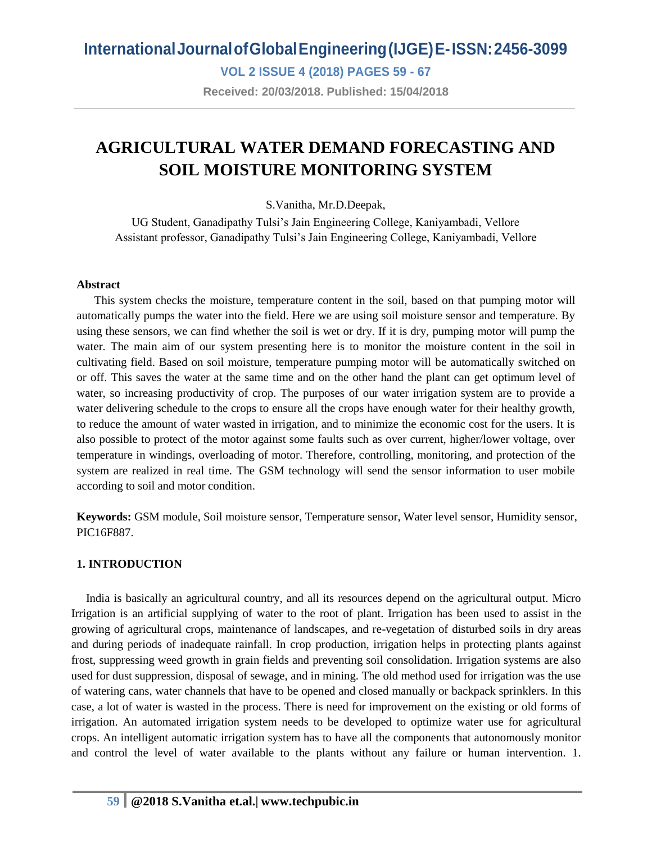**VOL 2 ISSUE 4 (2018) PAGES 59 - 67**

**Received: 20/03/2018. Published: 15/04/2018**

## **AGRICULTURAL WATER DEMAND FORECASTING AND SOIL MOISTURE MONITORING SYSTEM**

S.Vanitha, Mr.D.Deepak,

UG Student, Ganadipathy Tulsi's Jain Engineering College, Kaniyambadi, Vellore Assistant professor, Ganadipathy Tulsi's Jain Engineering College, Kaniyambadi, Vellore

#### **Abstract**

This system checks the moisture, temperature content in the soil, based on that pumping motor will automatically pumps the water into the field. Here we are using soil moisture sensor and temperature. By using these sensors, we can find whether the soil is wet or dry. If it is dry, pumping motor will pump the water. The main aim of our system presenting here is to monitor the moisture content in the soil in cultivating field. Based on soil moisture, temperature pumping motor will be automatically switched on or off. This saves the water at the same time and on the other hand the plant can get optimum level of water, so increasing productivity of crop. The purposes of our water irrigation system are to provide a water delivering schedule to the crops to ensure all the crops have enough water for their healthy growth, to reduce the amount of water wasted in irrigation, and to minimize the economic cost for the users. It is also possible to protect of the motor against some faults such as over current, higher/lower voltage, over temperature in windings, overloading of motor. Therefore, controlling, monitoring, and protection of the system are realized in real time. The GSM technology will send the sensor information to user mobile according to soil and motor condition.

**Keywords:** GSM module, Soil moisture sensor, Temperature sensor, Water level sensor, Humidity sensor, PIC16F887.

#### **1. INTRODUCTION**

 India is basically an agricultural country, and all its resources depend on the agricultural output. Micro Irrigation is an artificial supplying of water to the root of plant. Irrigation has been used to assist in the growing of agricultural crops, maintenance of landscapes, and re-vegetation of disturbed soils in dry areas and during periods of inadequate rainfall. In crop production, irrigation helps in protecting plants against frost, suppressing weed growth in grain fields and preventing soil consolidation. Irrigation systems are also used for dust suppression, disposal of sewage, and in mining. The old method used for irrigation was the use of watering cans, water channels that have to be opened and closed manually or backpack sprinklers. In this case, a lot of water is wasted in the process. There is need for improvement on the existing or old forms of irrigation. An automated irrigation system needs to be developed to optimize water use for agricultural crops. An intelligent automatic irrigation system has to have all the components that autonomously monitor and control the level of water available to the plants without any failure or human intervention. 1.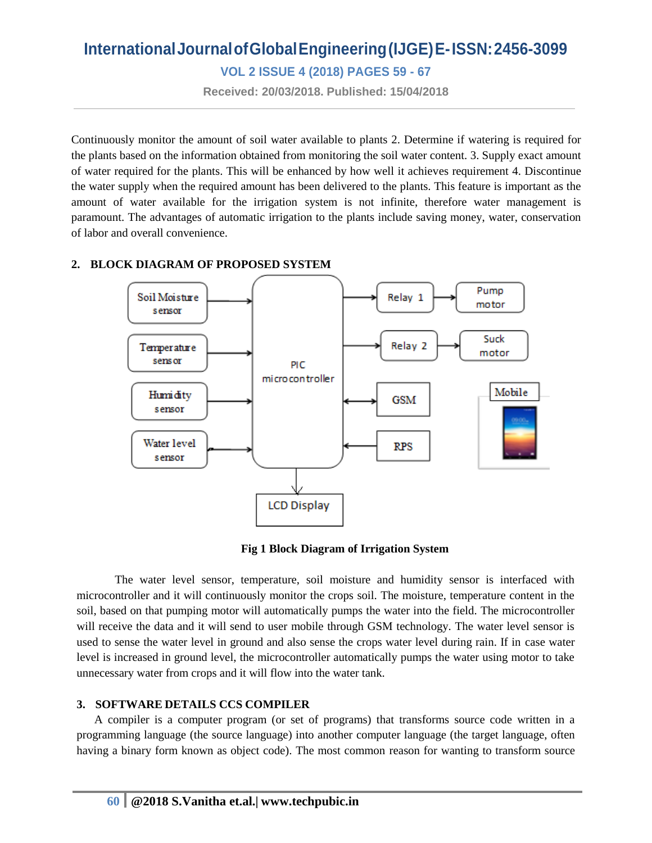**VOL 2 ISSUE 4 (2018) PAGES 59 - 67**

**Received: 20/03/2018. Published: 15/04/2018**

Continuously monitor the amount of soil water available to plants 2. Determine if watering is required for the plants based on the information obtained from monitoring the soil water content. 3. Supply exact amount of water required for the plants. This will be enhanced by how well it achieves requirement 4. Discontinue the water supply when the required amount has been delivered to the plants. This feature is important as the amount of water available for the irrigation system is not infinite, therefore water management is paramount. The advantages of automatic irrigation to the plants include saving money, water, conservation of labor and overall convenience.

#### **2. BLOCK DIAGRAM OF PROPOSED SYSTEM**



**Fig 1 Block Diagram of Irrigation System**

The water level sensor, temperature, soil moisture and humidity sensor is interfaced with microcontroller and it will continuously monitor the crops soil. The moisture, temperature content in the soil, based on that pumping motor will automatically pumps the water into the field. The microcontroller will receive the data and it will send to user mobile through GSM technology. The water level sensor is used to sense the water level in ground and also sense the crops water level during rain. If in case water level is increased in ground level, the microcontroller automatically pumps the water using motor to take unnecessary water from crops and it will flow into the water tank.

#### **3. SOFTWARE DETAILS CCS COMPILER**

 A compiler is a computer program (or set of programs) that transforms source code written in a programming language (the source language) into another computer language (the target language, often having a binary form known as object code). The most common reason for wanting to transform source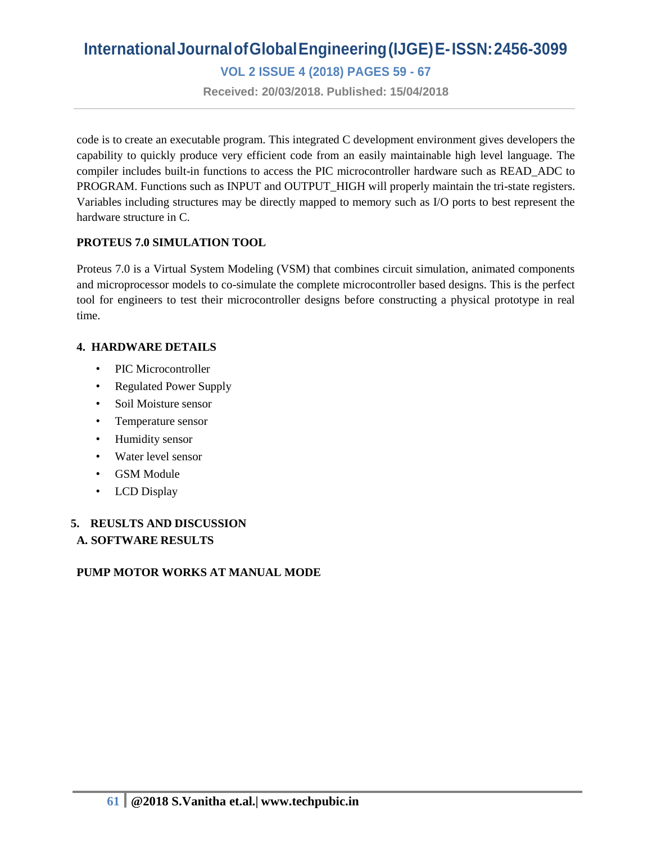**VOL 2 ISSUE 4 (2018) PAGES 59 - 67**

**Received: 20/03/2018. Published: 15/04/2018**

code is to create an executable program. This integrated C development environment gives developers the capability to quickly produce very efficient code from an easily maintainable high level language. The compiler includes built-in functions to access the PIC microcontroller hardware such as READ\_ADC to PROGRAM. Functions such as INPUT and OUTPUT\_HIGH will properly maintain the tri-state registers. Variables including structures may be directly mapped to memory such as I/O ports to best represent the hardware structure in C.

#### **PROTEUS 7.0 SIMULATION TOOL**

Proteus 7.0 is a Virtual System Modeling (VSM) that combines circuit simulation, animated components and microprocessor models to co-simulate the complete microcontroller based designs. This is the perfect tool for engineers to test their microcontroller designs before constructing a physical prototype in real time.

#### **4. HARDWARE DETAILS**

- PIC Microcontroller
- Regulated Power Supply
- Soil Moisture sensor
- Temperature sensor
- Humidity sensor
- Water level sensor
- GSM Module
- LCD Display

#### **5. REUSLTS AND DISCUSSION A. SOFTWARE RESULTS**

#### **PUMP MOTOR WORKS AT MANUAL MODE**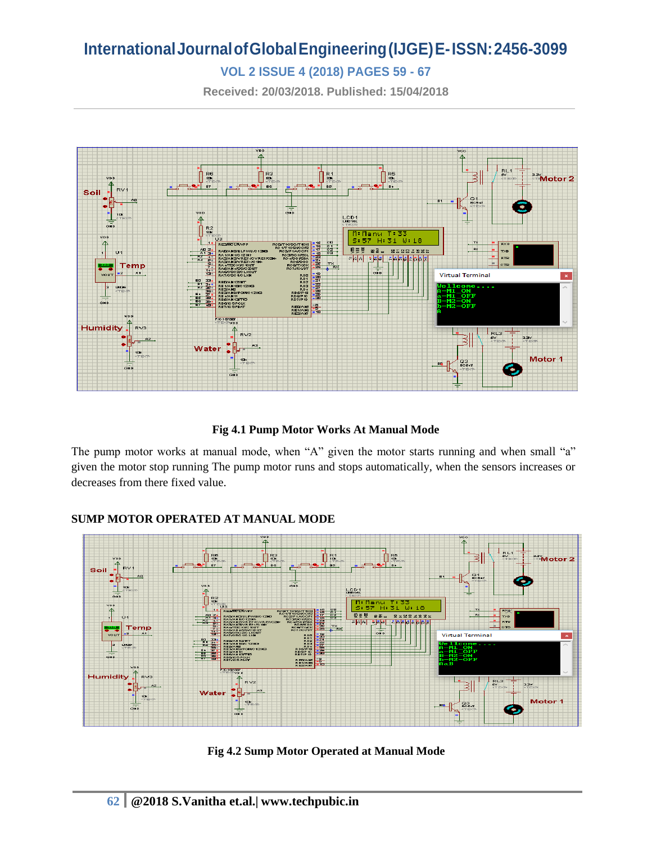### **VOL 2 ISSUE 4 (2018) PAGES 59 - 67**

**Received: 20/03/2018. Published: 15/04/2018**



#### **Fig 4.1 Pump Motor Works At Manual Mode**

The pump motor works at manual mode, when "A" given the motor starts running and when small "a" given the motor stop running The pump motor runs and stops automatically, when the sensors increases or decreases from there fixed value.



#### **SUMP MOTOR OPERATED AT MANUAL MODE**

**Fig 4.2 Sump Motor Operated at Manual Mode**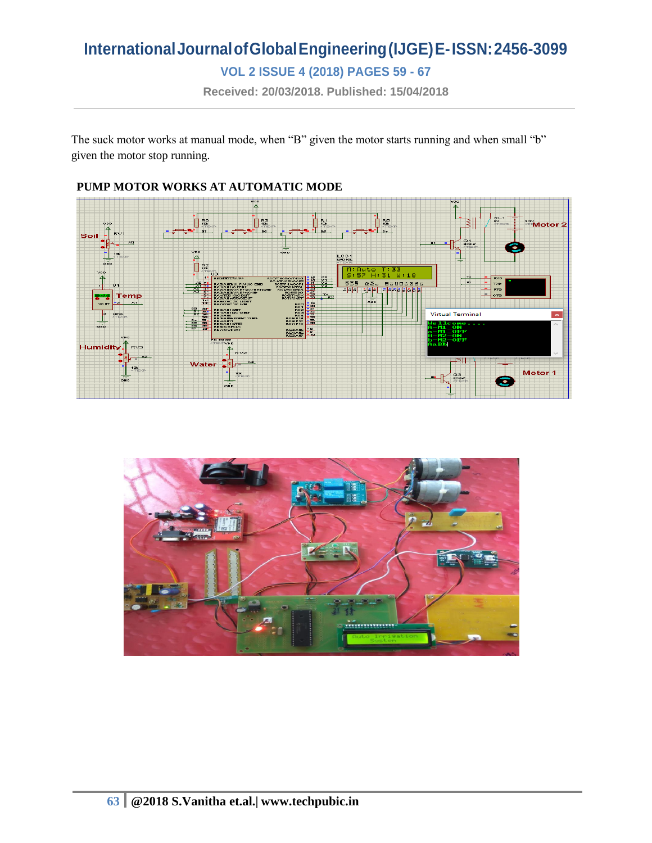**VOL 2 ISSUE 4 (2018) PAGES 59 - 67**

**Received: 20/03/2018. Published: 15/04/2018**

The suck motor works at manual mode, when "B" given the motor starts running and when small "b" given the motor stop running.



#### **PUMP MOTOR WORKS AT AUTOMATIC MODE**

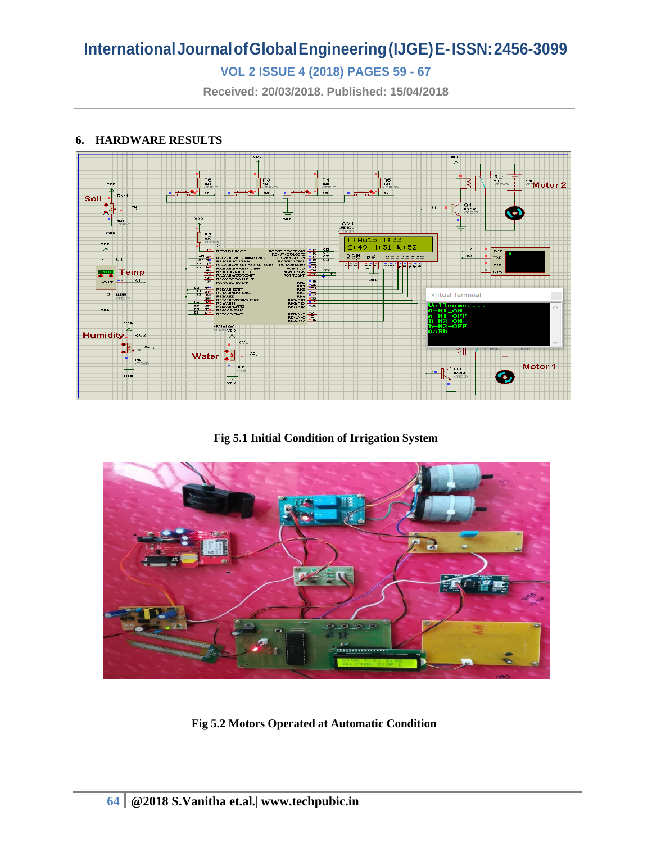### **VOL 2 ISSUE 4 (2018) PAGES 59 - 67**

**Received: 20/03/2018. Published: 15/04/2018**

#### **6. HARDWARE RESULTS**



**Fig 5.1 Initial Condition of Irrigation System**



**Fig 5.2 Motors Operated at Automatic Condition**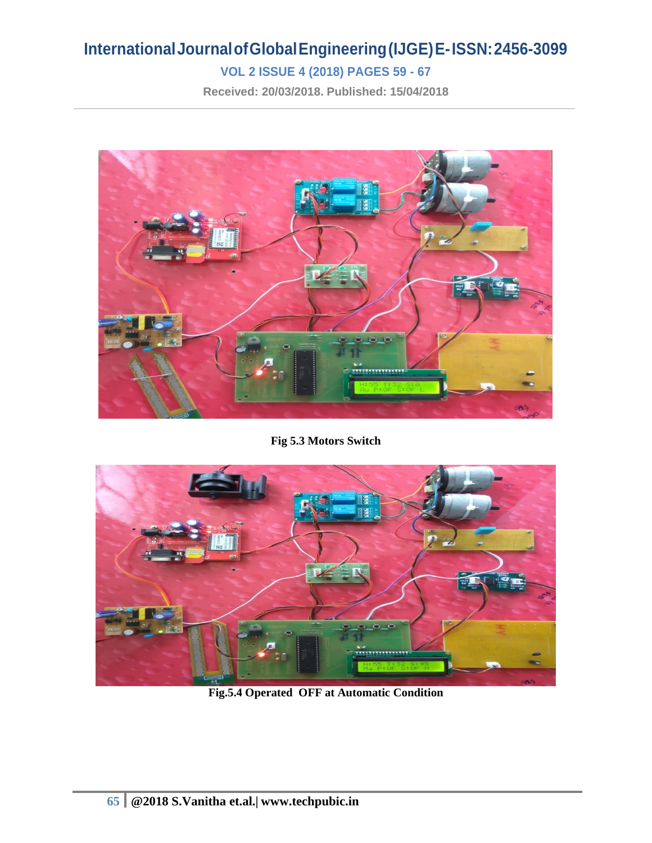### **VOL 2 ISSUE 4 (2018) PAGES 59 - 67**

**Received: 20/03/2018. Published: 15/04/2018**



**Fig 5.3 Motors Switch**



**Fig.5.4 Operated OFF at Automatic Condition**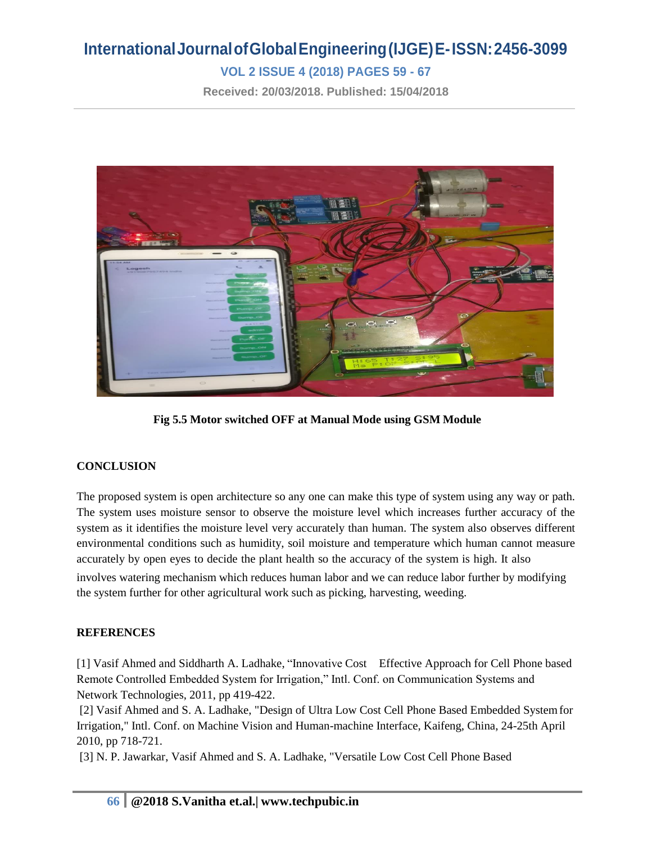### **VOL 2 ISSUE 4 (2018) PAGES 59 - 67**

**Received: 20/03/2018. Published: 15/04/2018**



**Fig 5.5 Motor switched OFF at Manual Mode using GSM Module**

#### **CONCLUSION**

The proposed system is open architecture so any one can make this type of system using any way or path. The system uses moisture sensor to observe the moisture level which increases further accuracy of the system as it identifies the moisture level very accurately than human. The system also observes different environmental conditions such as humidity, soil moisture and temperature which human cannot measure accurately by open eyes to decide the plant health so the accuracy of the system is high. It also involves watering mechanism which reduces human labor and we can reduce labor further by modifying the system further for other agricultural work such as picking, harvesting, weeding.

#### **REFERENCES**

[1] Vasif Ahmed and Siddharth A. Ladhake, "Innovative Cost Effective Approach for Cell Phone based Remote Controlled Embedded System for Irrigation," Intl. Conf. on Communication Systems and Network Technologies, 2011, pp 419-422.

[2] Vasif Ahmed and S. A. Ladhake, "Design of Ultra Low Cost Cell Phone Based Embedded Systemfor Irrigation," Intl. Conf. on Machine Vision and Human-machine Interface, Kaifeng, China, 24-25th April 2010, pp 718-721.

[3] N. P. Jawarkar, Vasif Ahmed and S. A. Ladhake, "Versatile Low Cost Cell Phone Based